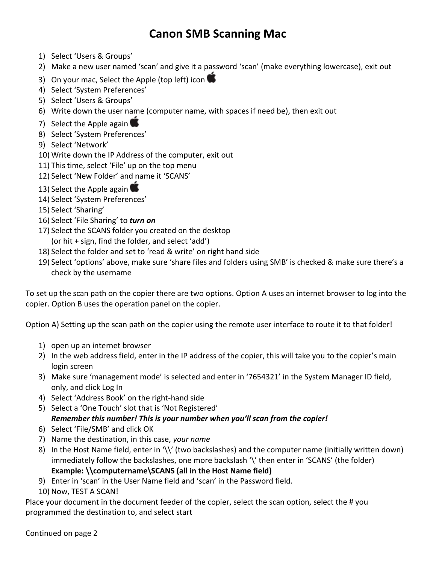## Canon SMB Scanning Mac

- 1) Select 'Users & Groups'
- 2) Make a new user named 'scan' and give it a password 'scan' (make everything lowercase), exit out
- 3) On your mac, Select the Apple (top left) icon
- 4) Select 'System Preferences'
- 5) Select 'Users & Groups'
- 6) Write down the user name (computer name, with spaces if need be), then exit out
- 7) Select the Apple again
- 8) Select 'System Preferences'
- 9) Select 'Network'
- 10) Write down the IP Address of the computer, exit out
- 11) This time, select 'File' up on the top menu
- 12) Select 'New Folder' and name it 'SCANS'
- 13) Select the Apple again
- 14) Select 'System Preferences'
- 15) Select 'Sharing'
- 16) Select 'File Sharing' to turn on
- 17) Select the SCANS folder you created on the desktop (or hit + sign, find the folder, and select 'add')
- 18) Select the folder and set to 'read & write' on right hand side
- 19) Select 'options' above, make sure 'share files and folders using SMB' is checked & make sure there's a check by the username

To set up the scan path on the copier there are two options. Option A uses an internet browser to log into the copier. Option B uses the operation panel on the copier.

Option A) Setting up the scan path on the copier using the remote user interface to route it to that folder!

- 1) open up an internet browser
- 2) In the web address field, enter in the IP address of the copier, this will take you to the copier's main login screen
- 3) Make sure 'management mode' is selected and enter in '7654321' in the System Manager ID field, only, and click Log In
- 4) Select 'Address Book' on the right-hand side
- 5) Select a 'One Touch' slot that is 'Not Registered' Remember this number! This is your number when you'll scan from the copier!
- 6) Select 'File/SMB' and click OK
- 7) Name the destination, in this case, your name
- 8) In the Host Name field, enter in '\\' (two backslashes) and the computer name (initially written down) immediately follow the backslashes, one more backslash '\' then enter in 'SCANS' (the folder) Example: \\computername\SCANS (all in the Host Name field)
- 9) Enter in 'scan' in the User Name field and 'scan' in the Password field.
- 10) Now, TEST A SCAN!

Place your document in the document feeder of the copier, select the scan option, select the # you programmed the destination to, and select start